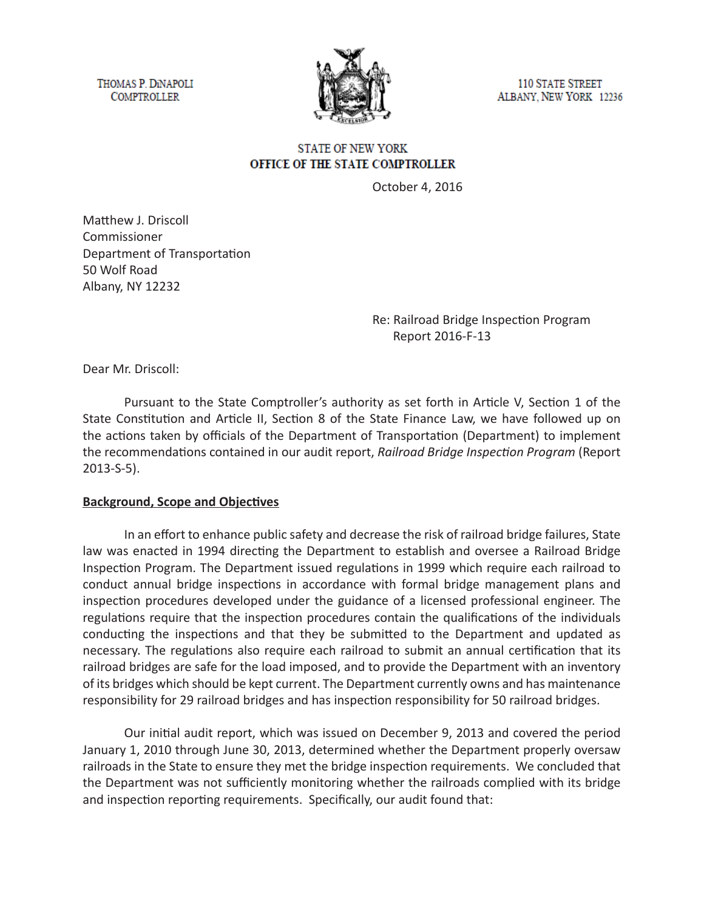THOMAS P. DINAPOLI **COMPTROLLER** 



**110 STATE STREET** ALBANY, NEW YORK 12236

# **STATE OF NEW YORK** OFFICE OF THE STATE COMPTROLLER

October 4, 2016

Matthew J. Driscoll Commissioner Department of Transportation 50 Wolf Road Albany, NY 12232

> Re: Railroad Bridge Inspection Program Report 2016-F-13

Dear Mr. Driscoll:

Pursuant to the State Comptroller's authority as set forth in Article V, Section 1 of the State Constitution and Article II, Section 8 of the State Finance Law, we have followed up on the actions taken by officials of the Department of Transportation (Department) to implement the recommendations contained in our audit report, *Railroad Bridge Inspection Program* (Report 2013-S-5).

#### **Background, Scope and Objectives**

In an effort to enhance public safety and decrease the risk of railroad bridge failures, State law was enacted in 1994 directing the Department to establish and oversee a Railroad Bridge Inspection Program. The Department issued regulations in 1999 which require each railroad to conduct annual bridge inspections in accordance with formal bridge management plans and inspection procedures developed under the guidance of a licensed professional engineer. The regulations require that the inspection procedures contain the qualifications of the individuals conducting the inspections and that they be submitted to the Department and updated as necessary. The regulations also require each railroad to submit an annual certification that its railroad bridges are safe for the load imposed, and to provide the Department with an inventory of its bridges which should be kept current. The Department currently owns and has maintenance responsibility for 29 railroad bridges and has inspection responsibility for 50 railroad bridges.

Our initial audit report, which was issued on December 9, 2013 and covered the period January 1, 2010 through June 30, 2013, determined whether the Department properly oversaw railroads in the State to ensure they met the bridge inspection requirements. We concluded that the Department was not sufficiently monitoring whether the railroads complied with its bridge and inspection reporting requirements. Specifically, our audit found that: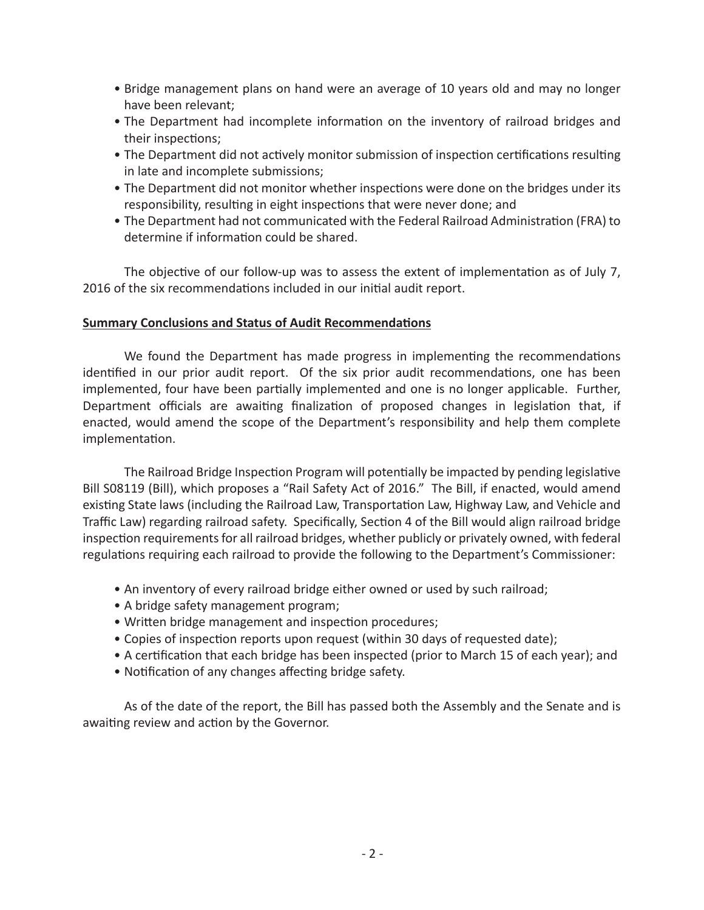- Bridge management plans on hand were an average of 10 years old and may no longer have been relevant;
- The Department had incomplete information on the inventory of railroad bridges and their inspections;
- The Department did not actively monitor submission of inspection certifications resulting in late and incomplete submissions;
- The Department did not monitor whether inspections were done on the bridges under its responsibility, resulting in eight inspections that were never done; and
- The Department had not communicated with the Federal Railroad Administration (FRA) to determine if information could be shared.

The objective of our follow-up was to assess the extent of implementation as of July 7, 2016 of the six recommendations included in our initial audit report.

## **Summary Conclusions and Status of Audit Recommendations**

We found the Department has made progress in implementing the recommendations identified in our prior audit report. Of the six prior audit recommendations, one has been implemented, four have been partially implemented and one is no longer applicable. Further, Department officials are awaiting finalization of proposed changes in legislation that, if enacted, would amend the scope of the Department's responsibility and help them complete implementation.

The Railroad Bridge Inspection Program will potentially be impacted by pending legislative Bill S08119 (Bill), which proposes a "Rail Safety Act of 2016." The Bill, if enacted, would amend existing State laws (including the Railroad Law, Transportation Law, Highway Law, and Vehicle and Traffic Law) regarding railroad safety. Specifically, Section 4 of the Bill would align railroad bridge inspection requirements for all railroad bridges, whether publicly or privately owned, with federal regulations requiring each railroad to provide the following to the Department's Commissioner:

- An inventory of every railroad bridge either owned or used by such railroad;
- A bridge safety management program;
- Written bridge management and inspection procedures;
- Copies of inspection reports upon request (within 30 days of requested date);
- A certification that each bridge has been inspected (prior to March 15 of each year); and
- Notification of any changes affecting bridge safety.

As of the date of the report, the Bill has passed both the Assembly and the Senate and is awaiting review and action by the Governor.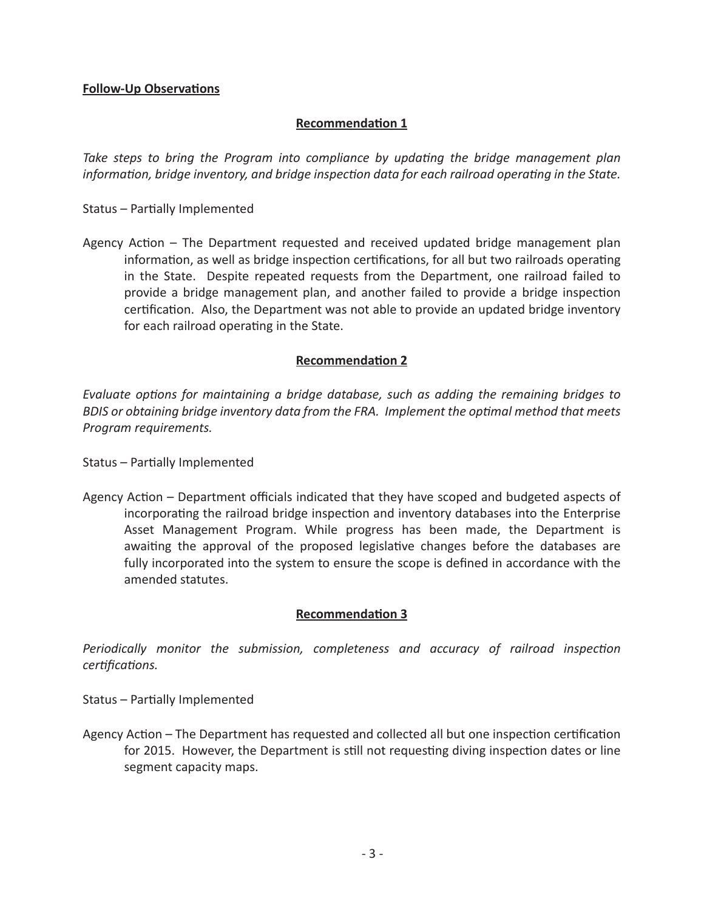## **Follow-Up Observations**

## **Recommendation 1**

*Take steps to bring the Program into compliance by updating the bridge management plan information, bridge inventory, and bridge inspection data for each railroad operating in the State.*

Status – Partially Implemented

Agency Action – The Department requested and received updated bridge management plan information, as well as bridge inspection certifications, for all but two railroads operating in the State. Despite repeated requests from the Department, one railroad failed to provide a bridge management plan, and another failed to provide a bridge inspection certification. Also, the Department was not able to provide an updated bridge inventory for each railroad operating in the State.

### **Recommendation 2**

*Evaluate options for maintaining a bridge database, such as adding the remaining bridges to BDIS or obtaining bridge inventory data from the FRA. Implement the optimal method that meets Program requirements.*

Status – Partially Implemented

Agency Action – Department officials indicated that they have scoped and budgeted aspects of incorporating the railroad bridge inspection and inventory databases into the Enterprise Asset Management Program. While progress has been made, the Department is awaiting the approval of the proposed legislative changes before the databases are fully incorporated into the system to ensure the scope is defined in accordance with the amended statutes.

## **Recommendation 3**

*Periodically monitor the submission, completeness and accuracy of railroad inspection certifications.*

Status – Partially Implemented

Agency Action – The Department has requested and collected all but one inspection certification for 2015. However, the Department is still not requesting diving inspection dates or line segment capacity maps.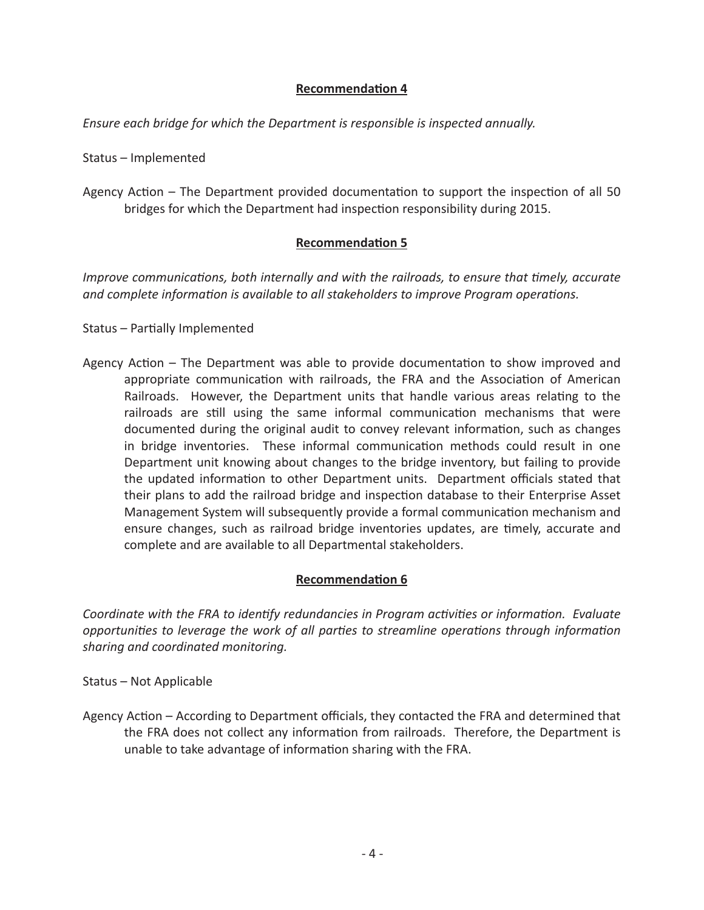# **Recommendation 4**

*Ensure each bridge for which the Department is responsible is inspected annually.*

Status – Implemented

Agency Action – The Department provided documentation to support the inspection of all 50 bridges for which the Department had inspection responsibility during 2015.

## **Recommendation 5**

*Improve communications, both internally and with the railroads, to ensure that timely, accurate and complete information is available to all stakeholders to improve Program operations.*

Status – Partially Implemented

Agency Action – The Department was able to provide documentation to show improved and appropriate communication with railroads, the FRA and the Association of American Railroads. However, the Department units that handle various areas relating to the railroads are still using the same informal communication mechanisms that were documented during the original audit to convey relevant information, such as changes in bridge inventories. These informal communication methods could result in one Department unit knowing about changes to the bridge inventory, but failing to provide the updated information to other Department units. Department officials stated that their plans to add the railroad bridge and inspection database to their Enterprise Asset Management System will subsequently provide a formal communication mechanism and ensure changes, such as railroad bridge inventories updates, are timely, accurate and complete and are available to all Departmental stakeholders.

# **Recommendation 6**

*Coordinate with the FRA to identify redundancies in Program activities or information. Evaluate opportunities to leverage the work of all parties to streamline operations through information sharing and coordinated monitoring.*

Status – Not Applicable

Agency Action – According to Department officials, they contacted the FRA and determined that the FRA does not collect any information from railroads. Therefore, the Department is unable to take advantage of information sharing with the FRA.